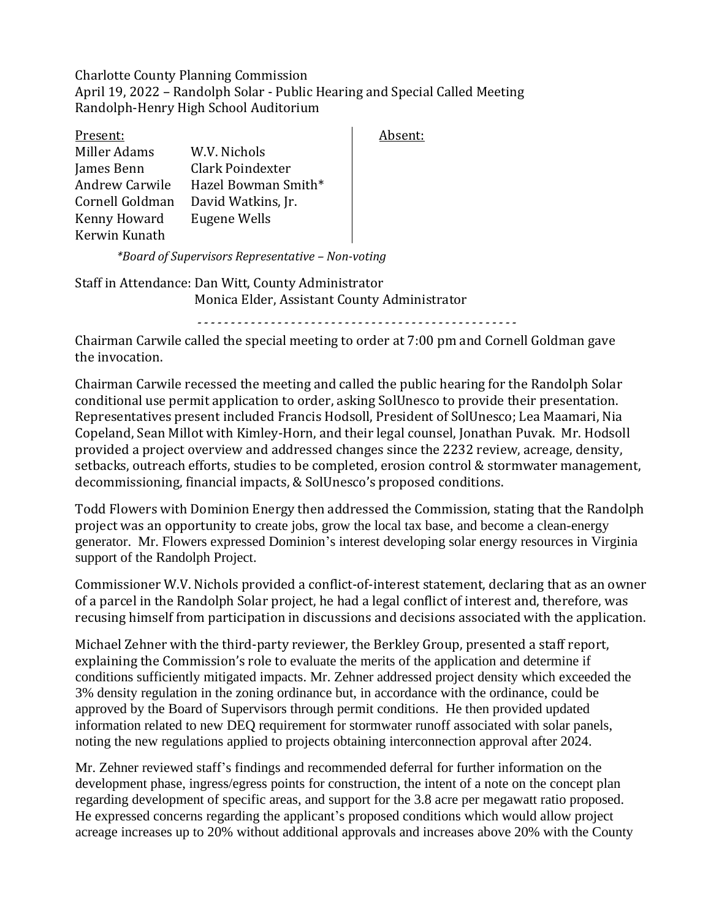Charlotte County Planning Commission April 19, 2022 – Randolph Solar - Public Hearing and Special Called Meeting Randolph-Henry High School Auditorium

| Present:              |                     |
|-----------------------|---------------------|
| Miller Adams          | W.V. Nichols        |
| James Benn            | Clark Poindexter    |
| <b>Andrew Carwile</b> | Hazel Bowman Smith* |
| Cornell Goldman       | David Watkins, Jr.  |
| Kenny Howard          | Eugene Wells        |
| Kerwin Kunath         |                     |

Absent:

*\*Board of Supervisors Representative – Non-voting*

Staff in Attendance: Dan Witt, County Administrator Monica Elder, Assistant County Administrator

*------------------------------------------------*

Chairman Carwile called the special meeting to order at 7:00 pm and Cornell Goldman gave the invocation.

Chairman Carwile recessed the meeting and called the public hearing for the Randolph Solar conditional use permit application to order, asking SolUnesco to provide their presentation. Representatives present included Francis Hodsoll, President of SolUnesco; Lea Maamari, Nia Copeland, Sean Millot with Kimley-Horn, and their legal counsel, Jonathan Puvak. Mr. Hodsoll provided a project overview and addressed changes since the 2232 review, acreage, density, setbacks, outreach efforts, studies to be completed, erosion control & stormwater management, decommissioning, financial impacts, & SolUnesco's proposed conditions.

Todd Flowers with Dominion Energy then addressed the Commission, stating that the Randolph project was an opportunity to create jobs, grow the local tax base, and become a clean-energy generator. Mr. Flowers expressed Dominion's interest developing solar energy resources in Virginia support of the Randolph Project.

Commissioner W.V. Nichols provided a conflict-of-interest statement, declaring that as an owner of a parcel in the Randolph Solar project, he had a legal conflict of interest and, therefore, was recusing himself from participation in discussions and decisions associated with the application.

Michael Zehner with the third-party reviewer, the Berkley Group, presented a staff report, explaining the Commission's role to evaluate the merits of the application and determine if conditions sufficiently mitigated impacts. Mr. Zehner addressed project density which exceeded the 3% density regulation in the zoning ordinance but, in accordance with the ordinance, could be approved by the Board of Supervisors through permit conditions. He then provided updated information related to new DEQ requirement for stormwater runoff associated with solar panels, noting the new regulations applied to projects obtaining interconnection approval after 2024.

Mr. Zehner reviewed staff's findings and recommended deferral for further information on the development phase, ingress/egress points for construction, the intent of a note on the concept plan regarding development of specific areas, and support for the 3.8 acre per megawatt ratio proposed. He expressed concerns regarding the applicant's proposed conditions which would allow project acreage increases up to 20% without additional approvals and increases above 20% with the County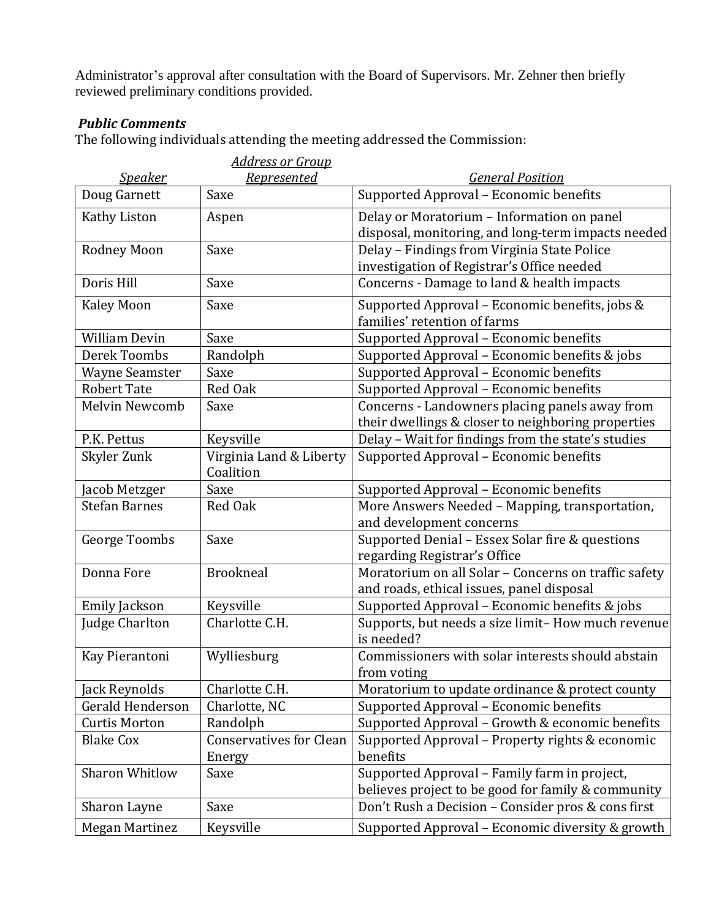Administrator's approval after consultation with the Board of Supervisors. Mr. Zehner then briefly reviewed preliminary conditions provided.

## *Public Comments*

The following individuals attending the meeting addressed the Commission:

|                         | <b>Address or Group</b>                  |                                                                                                      |
|-------------------------|------------------------------------------|------------------------------------------------------------------------------------------------------|
| <u>Speaker</u>          | <b>Represented</b>                       | <b>General Position</b>                                                                              |
| Doug Garnett            | Saxe                                     | Supported Approval - Economic benefits                                                               |
| Kathy Liston            | Aspen                                    | Delay or Moratorium - Information on panel<br>disposal, monitoring, and long-term impacts needed     |
| <b>Rodney Moon</b>      | Saxe                                     | Delay - Findings from Virginia State Police<br>investigation of Registrar's Office needed            |
| Doris Hill              | Saxe                                     | Concerns - Damage to land & health impacts                                                           |
| <b>Kaley Moon</b>       | Saxe                                     | Supported Approval – Economic benefits, jobs &<br>families' retention of farms                       |
| <b>William Devin</b>    | Saxe                                     | Supported Approval - Economic benefits                                                               |
| Derek Toombs            | Randolph                                 | Supported Approval - Economic benefits & jobs                                                        |
| <b>Wayne Seamster</b>   | Saxe                                     | Supported Approval - Economic benefits                                                               |
| <b>Robert Tate</b>      | Red Oak                                  | Supported Approval - Economic benefits                                                               |
| Melvin Newcomb          | Saxe                                     | Concerns - Landowners placing panels away from<br>their dwellings & closer to neighboring properties |
| P.K. Pettus             | Keysville                                | Delay - Wait for findings from the state's studies                                                   |
| Skyler Zunk             | Virginia Land & Liberty<br>Coalition     | Supported Approval - Economic benefits                                                               |
| Jacob Metzger           | Saxe                                     | Supported Approval - Economic benefits                                                               |
| <b>Stefan Barnes</b>    | Red Oak                                  | More Answers Needed - Mapping, transportation,<br>and development concerns                           |
| <b>George Toombs</b>    | Saxe                                     | Supported Denial - Essex Solar fire & questions<br>regarding Registrar's Office                      |
| Donna Fore              | <b>Brookneal</b>                         | Moratorium on all Solar - Concerns on traffic safety<br>and roads, ethical issues, panel disposal    |
| Emily Jackson           | Keysville                                | Supported Approval - Economic benefits & jobs                                                        |
| Judge Charlton          | Charlotte C.H.                           | Supports, but needs a size limit- How much revenue<br>is needed?                                     |
| Kay Pierantoni          | Wylliesburg                              | Commissioners with solar interests should abstain<br>from voting                                     |
| Jack Reynolds           | Charlotte C.H.                           | Moratorium to update ordinance & protect county                                                      |
| <b>Gerald Henderson</b> | Charlotte, NC                            | Supported Approval - Economic benefits                                                               |
| <b>Curtis Morton</b>    | Randolph                                 | Supported Approval - Growth & economic benefits                                                      |
| <b>Blake Cox</b>        | <b>Conservatives for Clean</b><br>Energy | Supported Approval - Property rights & economic<br>benefits                                          |
| <b>Sharon Whitlow</b>   | Saxe                                     | Supported Approval - Family farm in project,<br>believes project to be good for family & community   |
| Sharon Layne            | Saxe                                     | Don't Rush a Decision - Consider pros & cons first                                                   |
| <b>Megan Martinez</b>   | Keysville                                | Supported Approval - Economic diversity & growth                                                     |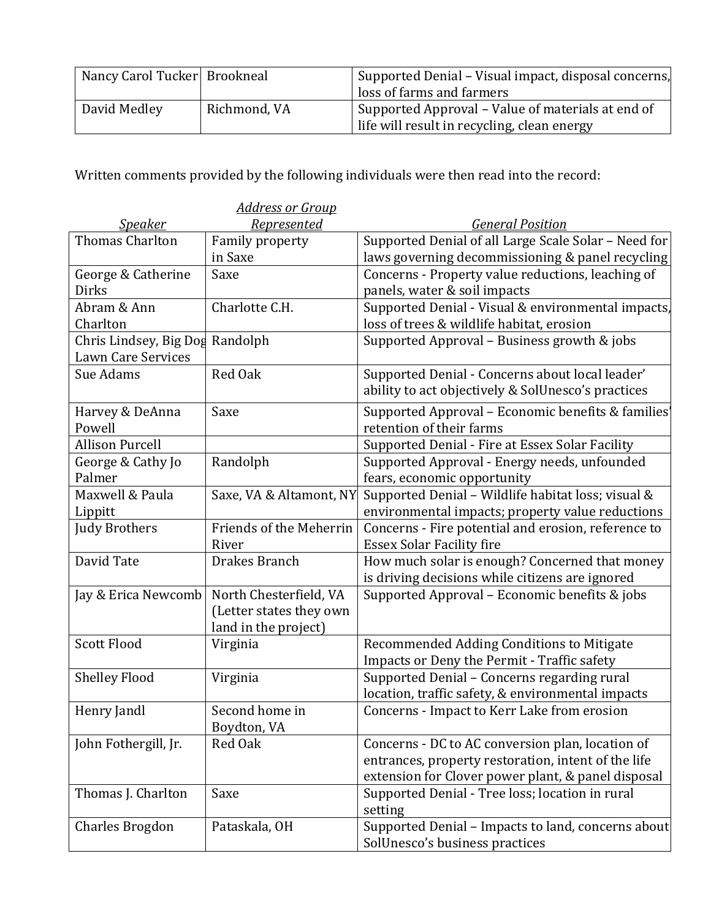| Nancy Carol Tucker Brookneal |              | Supported Denial – Visual impact, disposal concerns, |
|------------------------------|--------------|------------------------------------------------------|
|                              |              | loss of farms and farmers                            |
| David Medley                 | Richmond, VA | Supported Approval – Value of materials at end of    |
|                              |              | life will result in recycling, clean energy          |

Written comments provided by the following individuals were then read into the record:

|                        | <b>Address or Group</b> |                                                      |
|------------------------|-------------------------|------------------------------------------------------|
| <b>Speaker</b>         | Represented             | <b>General Position</b>                              |
| Thomas Charlton        | Family property         | Supported Denial of all Large Scale Solar - Need for |
|                        | in Saxe                 | laws governing decommissioning & panel recycling     |
| George & Catherine     | Saxe                    | Concerns - Property value reductions, leaching of    |
| <b>Dirks</b>           |                         | panels, water & soil impacts                         |
| Abram & Ann            | Charlotte C.H.          | Supported Denial - Visual & environmental impacts,   |
| Charlton               |                         | loss of trees & wildlife habitat, erosion            |
| Chris Lindsey, Big Dog | Randolph                | Supported Approval - Business growth & jobs          |
| Lawn Care Services     |                         |                                                      |
| Sue Adams              | <b>Red Oak</b>          | Supported Denial - Concerns about local leader'      |
|                        |                         | ability to act objectively & SolUnesco's practices   |
| Harvey & DeAnna        | Saxe                    | Supported Approval - Economic benefits & families'   |
| Powell                 |                         | retention of their farms                             |
| <b>Allison Purcell</b> |                         | Supported Denial - Fire at Essex Solar Facility      |
| George & Cathy Jo      | Randolph                | Supported Approval - Energy needs, unfounded         |
| Palmer                 |                         | fears, economic opportunity                          |
| Maxwell & Paula        | Saxe, VA & Altamont, NY | Supported Denial - Wildlife habitat loss; visual &   |
| Lippitt                |                         | environmental impacts; property value reductions     |
| <b>Judy Brothers</b>   | Friends of the Meherrin | Concerns - Fire potential and erosion, reference to  |
|                        | River                   | <b>Essex Solar Facility fire</b>                     |
| David Tate             | Drakes Branch           | How much solar is enough? Concerned that money       |
|                        |                         | is driving decisions while citizens are ignored      |
| Jay & Erica Newcomb    | North Chesterfield, VA  | Supported Approval - Economic benefits & jobs        |
|                        | (Letter states they own |                                                      |
|                        | land in the project)    |                                                      |
| <b>Scott Flood</b>     | Virginia                | Recommended Adding Conditions to Mitigate            |
|                        |                         | Impacts or Deny the Permit - Traffic safety          |
| <b>Shelley Flood</b>   | Virginia                | Supported Denial - Concerns regarding rural          |
|                        |                         | location, traffic safety, & environmental impacts    |
| Henry Jandl            | Second home in          | Concerns - Impact to Kerr Lake from erosion          |
|                        | Boydton, VA             |                                                      |
| John Fothergill, Jr.   | Red Oak                 | Concerns - DC to AC conversion plan, location of     |
|                        |                         | entrances, property restoration, intent of the life  |
|                        |                         | extension for Clover power plant, & panel disposal   |
| Thomas J. Charlton     | Saxe                    | Supported Denial - Tree loss; location in rural      |
|                        |                         | setting                                              |
| <b>Charles Brogdon</b> | Pataskala, OH           | Supported Denial - Impacts to land, concerns about   |
|                        |                         | SolUnesco's business practices                       |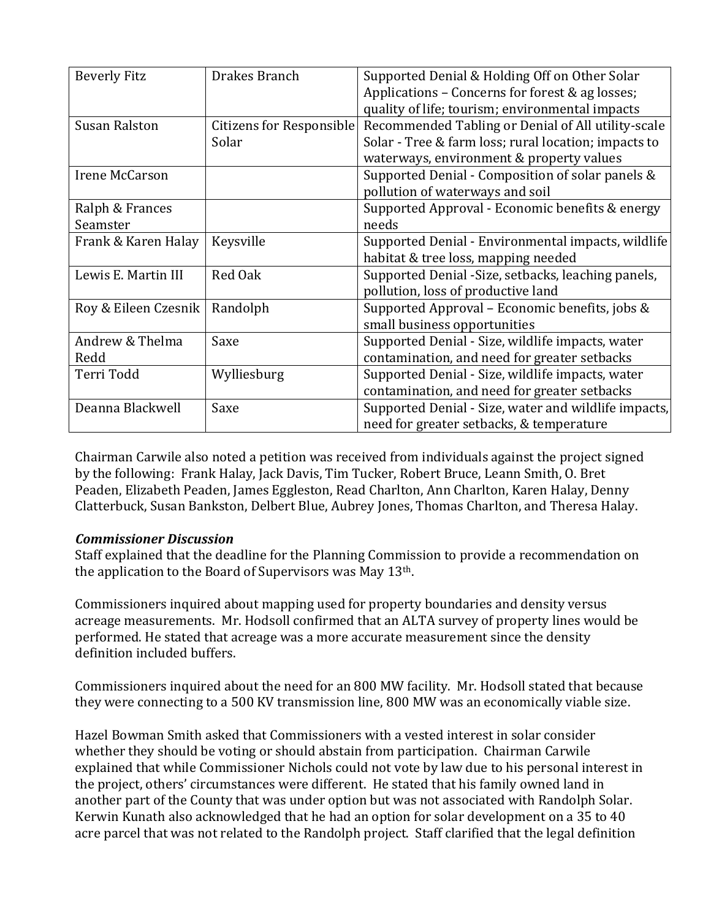| <b>Beverly Fitz</b>  | Drakes Branch            | Supported Denial & Holding Off on Other Solar<br>Applications - Concerns for forest & ag losses; |
|----------------------|--------------------------|--------------------------------------------------------------------------------------------------|
|                      |                          | quality of life; tourism; environmental impacts                                                  |
| <b>Susan Ralston</b> | Citizens for Responsible | Recommended Tabling or Denial of All utility-scale                                               |
|                      | Solar                    | Solar - Tree & farm loss; rural location; impacts to                                             |
|                      |                          | waterways, environment & property values                                                         |
| Irene McCarson       |                          | Supported Denial - Composition of solar panels &                                                 |
|                      |                          | pollution of waterways and soil                                                                  |
| Ralph & Frances      |                          | Supported Approval - Economic benefits & energy                                                  |
| Seamster             |                          | needs                                                                                            |
| Frank & Karen Halay  | Keysville                | Supported Denial - Environmental impacts, wildlife                                               |
|                      |                          | habitat & tree loss, mapping needed                                                              |
| Lewis E. Martin III  | Red Oak                  | Supported Denial - Size, setbacks, leaching panels,                                              |
|                      |                          | pollution, loss of productive land                                                               |
| Roy & Eileen Czesnik | Randolph                 | Supported Approval – Economic benefits, jobs &                                                   |
|                      |                          | small business opportunities                                                                     |
| Andrew & Thelma      | Saxe                     | Supported Denial - Size, wildlife impacts, water                                                 |
| Redd                 |                          | contamination, and need for greater setbacks                                                     |
| Terri Todd           | Wylliesburg              | Supported Denial - Size, wildlife impacts, water                                                 |
|                      |                          | contamination, and need for greater setbacks                                                     |
| Deanna Blackwell     | Saxe                     | Supported Denial - Size, water and wildlife impacts,                                             |
|                      |                          | need for greater setbacks, & temperature                                                         |

Chairman Carwile also noted a petition was received from individuals against the project signed by the following: Frank Halay, Jack Davis, Tim Tucker, Robert Bruce, Leann Smith, O. Bret Peaden, Elizabeth Peaden, James Eggleston, Read Charlton, Ann Charlton, Karen Halay, Denny Clatterbuck, Susan Bankston, Delbert Blue, Aubrey Jones, Thomas Charlton, and Theresa Halay.

## *Commissioner Discussion*

Staff explained that the deadline for the Planning Commission to provide a recommendation on the application to the Board of Supervisors was May 13th.

Commissioners inquired about mapping used for property boundaries and density versus acreage measurements. Mr. Hodsoll confirmed that an ALTA survey of property lines would be performed. He stated that acreage was a more accurate measurement since the density definition included buffers.

Commissioners inquired about the need for an 800 MW facility. Mr. Hodsoll stated that because they were connecting to a 500 KV transmission line, 800 MW was an economically viable size.

Hazel Bowman Smith asked that Commissioners with a vested interest in solar consider whether they should be voting or should abstain from participation. Chairman Carwile explained that while Commissioner Nichols could not vote by law due to his personal interest in the project, others' circumstances were different. He stated that his family owned land in another part of the County that was under option but was not associated with Randolph Solar. Kerwin Kunath also acknowledged that he had an option for solar development on a 35 to 40 acre parcel that was not related to the Randolph project. Staff clarified that the legal definition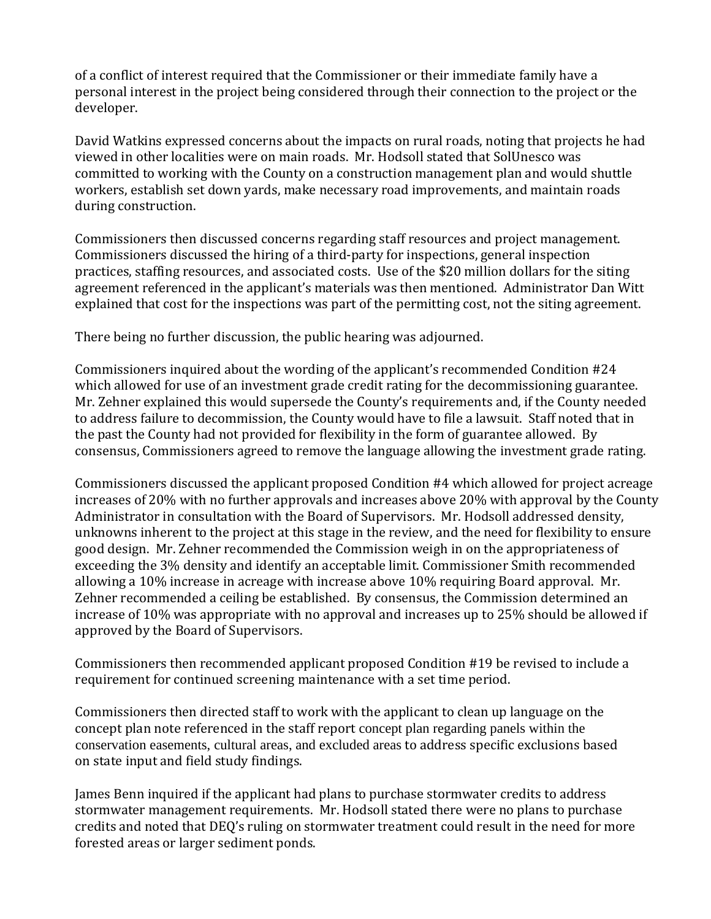of a conflict of interest required that the Commissioner or their immediate family have a personal interest in the project being considered through their connection to the project or the developer.

David Watkins expressed concerns about the impacts on rural roads, noting that projects he had viewed in other localities were on main roads. Mr. Hodsoll stated that SolUnesco was committed to working with the County on a construction management plan and would shuttle workers, establish set down yards, make necessary road improvements, and maintain roads during construction.

Commissioners then discussed concerns regarding staff resources and project management. Commissioners discussed the hiring of a third-party for inspections, general inspection practices, staffing resources, and associated costs. Use of the \$20 million dollars for the siting agreement referenced in the applicant's materials was then mentioned. Administrator Dan Witt explained that cost for the inspections was part of the permitting cost, not the siting agreement.

There being no further discussion, the public hearing was adjourned.

Commissioners inquired about the wording of the applicant's recommended Condition #24 which allowed for use of an investment grade credit rating for the decommissioning guarantee. Mr. Zehner explained this would supersede the County's requirements and, if the County needed to address failure to decommission, the County would have to file a lawsuit. Staff noted that in the past the County had not provided for flexibility in the form of guarantee allowed. By consensus, Commissioners agreed to remove the language allowing the investment grade rating.

Commissioners discussed the applicant proposed Condition #4 which allowed for project acreage increases of 20% with no further approvals and increases above 20% with approval by the County Administrator in consultation with the Board of Supervisors. Mr. Hodsoll addressed density, unknowns inherent to the project at this stage in the review, and the need for flexibility to ensure good design. Mr. Zehner recommended the Commission weigh in on the appropriateness of exceeding the 3% density and identify an acceptable limit. Commissioner Smith recommended allowing a 10% increase in acreage with increase above 10% requiring Board approval. Mr. Zehner recommended a ceiling be established. By consensus, the Commission determined an increase of 10% was appropriate with no approval and increases up to 25% should be allowed if approved by the Board of Supervisors.

Commissioners then recommended applicant proposed Condition #19 be revised to include a requirement for continued screening maintenance with a set time period.

Commissioners then directed staff to work with the applicant to clean up language on the concept plan note referenced in the staff report concept plan regarding panels within the conservation easements, cultural areas, and excluded areas to address specific exclusions based on state input and field study findings.

James Benn inquired if the applicant had plans to purchase stormwater credits to address stormwater management requirements. Mr. Hodsoll stated there were no plans to purchase credits and noted that DEQ's ruling on stormwater treatment could result in the need for more forested areas or larger sediment ponds.